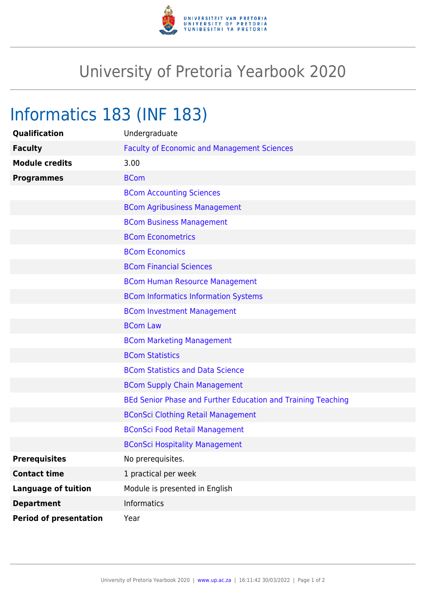

## University of Pretoria Yearbook 2020

## Informatics 183 (INF 183)

| Qualification                 | Undergraduate                                                |
|-------------------------------|--------------------------------------------------------------|
| <b>Faculty</b>                | <b>Faculty of Economic and Management Sciences</b>           |
| <b>Module credits</b>         | 3.00                                                         |
| <b>Programmes</b>             | <b>BCom</b>                                                  |
|                               | <b>BCom Accounting Sciences</b>                              |
|                               | <b>BCom Agribusiness Management</b>                          |
|                               | <b>BCom Business Management</b>                              |
|                               | <b>BCom Econometrics</b>                                     |
|                               | <b>BCom Economics</b>                                        |
|                               | <b>BCom Financial Sciences</b>                               |
|                               | <b>BCom Human Resource Management</b>                        |
|                               | <b>BCom Informatics Information Systems</b>                  |
|                               | <b>BCom Investment Management</b>                            |
|                               | <b>BCom Law</b>                                              |
|                               | <b>BCom Marketing Management</b>                             |
|                               | <b>BCom Statistics</b>                                       |
|                               | <b>BCom Statistics and Data Science</b>                      |
|                               | <b>BCom Supply Chain Management</b>                          |
|                               | BEd Senior Phase and Further Education and Training Teaching |
|                               | <b>BConSci Clothing Retail Management</b>                    |
|                               | <b>BConSci Food Retail Management</b>                        |
|                               | <b>BConSci Hospitality Management</b>                        |
| <b>Prerequisites</b>          | No prerequisites.                                            |
| <b>Contact time</b>           | 1 practical per week                                         |
| <b>Language of tuition</b>    | Module is presented in English                               |
| <b>Department</b>             | <b>Informatics</b>                                           |
| <b>Period of presentation</b> | Year                                                         |